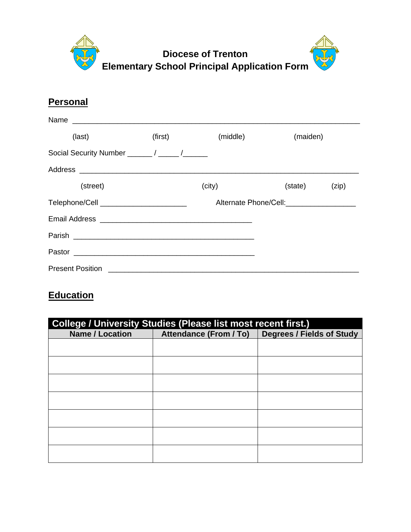

## **Personal**

| Name                                    |         |          |                                             |       |
|-----------------------------------------|---------|----------|---------------------------------------------|-------|
| (last)                                  | (first) | (middle) | (maiden)                                    |       |
| Social Security Number ______/ _____/   |         |          |                                             |       |
|                                         |         |          |                                             |       |
| (street)                                |         | (city)   | (state)                                     | (zip) |
| Telephone/Cell ________________________ |         |          | Alternate Phone/Cell:______________________ |       |
|                                         |         |          |                                             |       |
| Parish                                  |         |          |                                             |       |
|                                         |         |          |                                             |       |
|                                         |         |          |                                             |       |

# **Education**

| <b>College / University Studies (Please list most recent first.)</b> |                               |                                  |  |
|----------------------------------------------------------------------|-------------------------------|----------------------------------|--|
| <b>Name / Location</b>                                               | <b>Attendance (From / To)</b> | <b>Degrees / Fields of Study</b> |  |
|                                                                      |                               |                                  |  |
|                                                                      |                               |                                  |  |
|                                                                      |                               |                                  |  |
|                                                                      |                               |                                  |  |
|                                                                      |                               |                                  |  |
|                                                                      |                               |                                  |  |
|                                                                      |                               |                                  |  |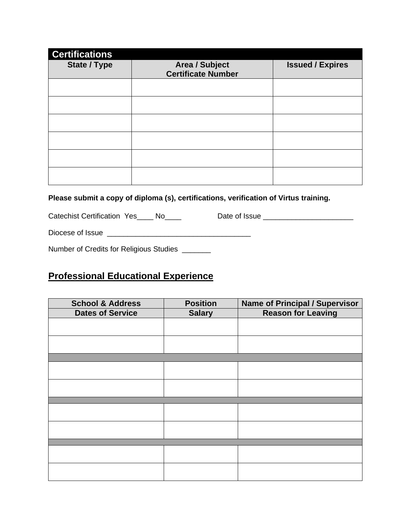| <b>Certifications</b> |                                                    |                         |
|-----------------------|----------------------------------------------------|-------------------------|
| <b>State / Type</b>   | <b>Area / Subject</b><br><b>Certificate Number</b> | <b>Issued / Expires</b> |
|                       |                                                    |                         |
|                       |                                                    |                         |
|                       |                                                    |                         |
|                       |                                                    |                         |
|                       |                                                    |                         |
|                       |                                                    |                         |

#### **Please submit a copy of diploma (s), certifications, verification of Virtus training.**

Catechist Certification Yes\_\_\_\_ No\_\_\_\_ Date of Issue \_\_\_\_\_\_\_\_\_\_\_\_\_\_\_\_\_\_\_\_\_\_\_\_\_\_\_

Diocese of Issue \_\_\_\_\_\_\_\_\_\_\_\_\_\_\_\_\_\_\_\_\_\_\_\_\_\_\_\_\_\_\_\_\_\_\_

Number of Credits for Religious Studies \_\_\_\_\_\_\_

### **Professional Educational Experience**

| <b>School &amp; Address</b> | <b>Position</b> | <b>Name of Principal / Supervisor</b> |
|-----------------------------|-----------------|---------------------------------------|
| <b>Dates of Service</b>     | <b>Salary</b>   | <b>Reason for Leaving</b>             |
|                             |                 |                                       |
|                             |                 |                                       |
|                             |                 |                                       |
|                             |                 |                                       |
|                             |                 |                                       |
|                             |                 |                                       |
|                             |                 |                                       |
|                             |                 |                                       |
|                             |                 |                                       |
|                             |                 |                                       |
|                             |                 |                                       |
|                             |                 |                                       |
|                             |                 |                                       |
|                             |                 |                                       |
|                             |                 |                                       |
|                             |                 |                                       |
|                             |                 |                                       |
|                             |                 |                                       |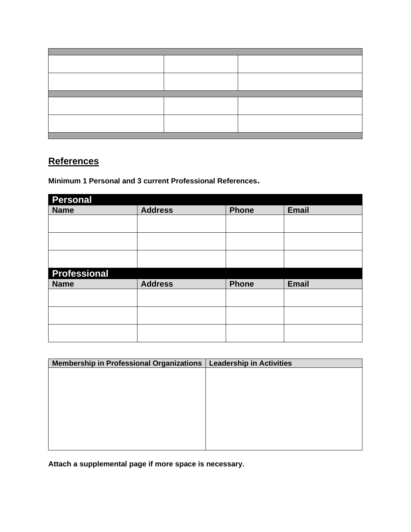## **References**

**Minimum 1 Personal and 3 current Professional References.** 

| <b>Personal</b>     |                |              |              |
|---------------------|----------------|--------------|--------------|
| <b>Name</b>         | <b>Address</b> | <b>Phone</b> | <b>Email</b> |
|                     |                |              |              |
|                     |                |              |              |
|                     |                |              |              |
|                     |                |              |              |
|                     |                |              |              |
|                     |                |              |              |
| <b>Professional</b> |                |              |              |
| <b>Name</b>         |                |              |              |
|                     | <b>Address</b> | <b>Phone</b> | <b>Email</b> |
|                     |                |              |              |
|                     |                |              |              |
|                     |                |              |              |
|                     |                |              |              |
|                     |                |              |              |

| <b>Membership in Professional Organizations</b> | Leadership in Activities |
|-------------------------------------------------|--------------------------|
|                                                 |                          |
|                                                 |                          |
|                                                 |                          |
|                                                 |                          |
|                                                 |                          |
|                                                 |                          |
|                                                 |                          |
|                                                 |                          |
|                                                 |                          |

**Attach a supplemental page if more space is necessary.**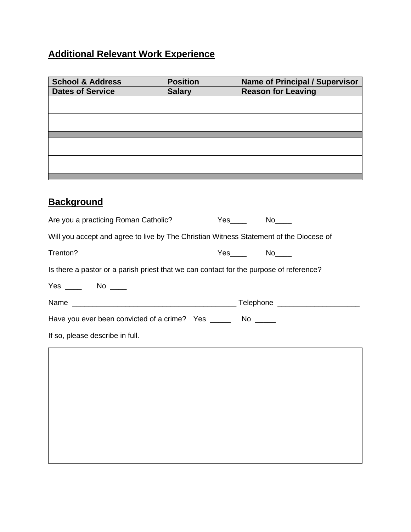# **Additional Relevant Work Experience**

| <b>Position</b> | <b>Name of Principal / Supervisor</b> |
|-----------------|---------------------------------------|
| <b>Salary</b>   | <b>Reason for Leaving</b>             |
|                 |                                       |
|                 |                                       |
|                 |                                       |
|                 |                                       |
|                 |                                       |
|                 |                                       |
|                 |                                       |
|                 |                                       |
|                 |                                       |
|                 |                                       |

# **Background**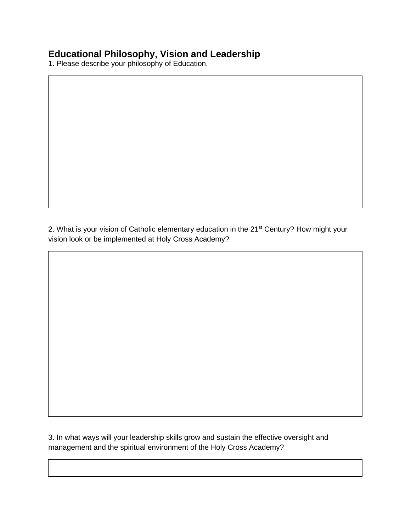### **Educational Philosophy, Vision and Leadership**

1. Please describe your philosophy of Education.

2. What is your vision of Catholic elementary education in the 21<sup>st</sup> Century? How might your vision look or be implemented at Holy Cross Academy?

3. In what ways will your leadership skills grow and sustain the effective oversight and management and the spiritual environment of the Holy Cross Academy?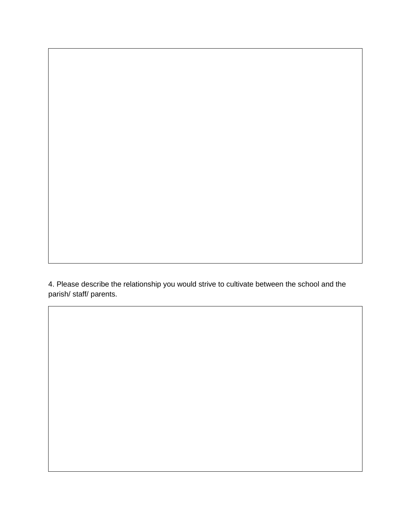4. Please describe the relationship you would strive to cultivate between the school and the parish/ staff/ parents.